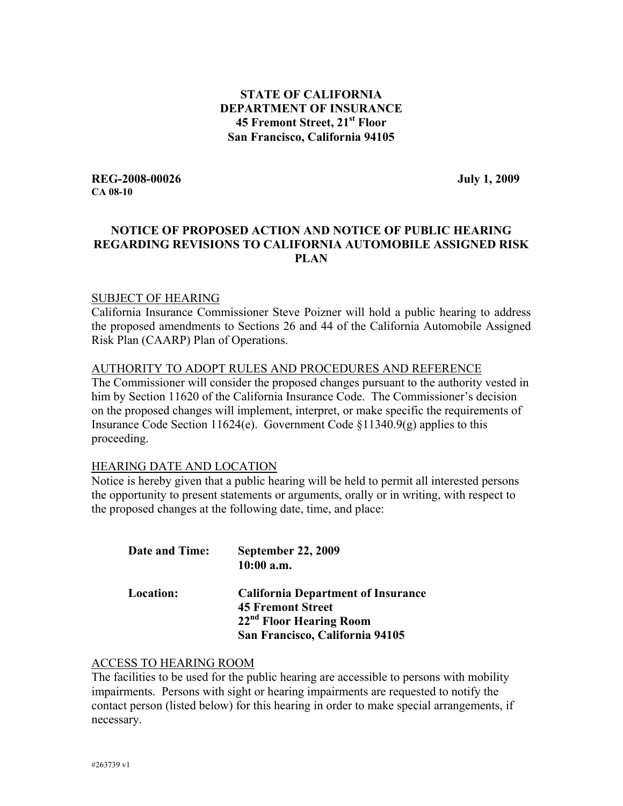#### **STATE OF CALIFORNIA DEPARTMENT OF INSURANCE 45 Fremont Street, 21st Floor San Francisco, California 94105**

**REG-2008-00026 July 1, 2009 CA 08-10** 

# **NOTICE OF PROPOSED ACTION AND NOTICE OF PUBLIC HEARING REGARDING REVISIONS TO CALIFORNIA AUTOMOBILE ASSIGNED RISK PLAN**

#### SUBJECT OF HEARING

California Insurance Commissioner Steve Poizner will hold a public hearing to address the proposed amendments to Sections 26 and 44 of the California Automobile Assigned Risk Plan (CAARP) Plan of Operations.

#### AUTHORITY TO ADOPT RULES AND PROCEDURES AND REFERENCE

The Commissioner will consider the proposed changes pursuant to the authority vested in him by Section 11620 of the California Insurance Code. The Commissioner's decision on the proposed changes will implement, interpret, or make specific the requirements of Insurance Code Section 11624(e). Government Code §11340.9(g) applies to this proceeding.

#### HEARING DATE AND LOCATION

Notice is hereby given that a public hearing will be held to permit all interested persons the opportunity to present statements or arguments, orally or in writing, with respect to the proposed changes at the following date, time, and place:

| <b>Date and Time:</b> | <b>September 22, 2009</b><br>$10:00$ a.m.                                                                                                       |
|-----------------------|-------------------------------------------------------------------------------------------------------------------------------------------------|
| Location:             | <b>California Department of Insurance</b><br><b>45 Fremont Street</b><br>22 <sup>nd</sup> Floor Hearing Room<br>San Francisco, California 94105 |

#### ACCESS TO HEARING ROOM

The facilities to be used for the public hearing are accessible to persons with mobility impairments. Persons with sight or hearing impairments are requested to notify the contact person (listed below) for this hearing in order to make special arrangements, if necessary.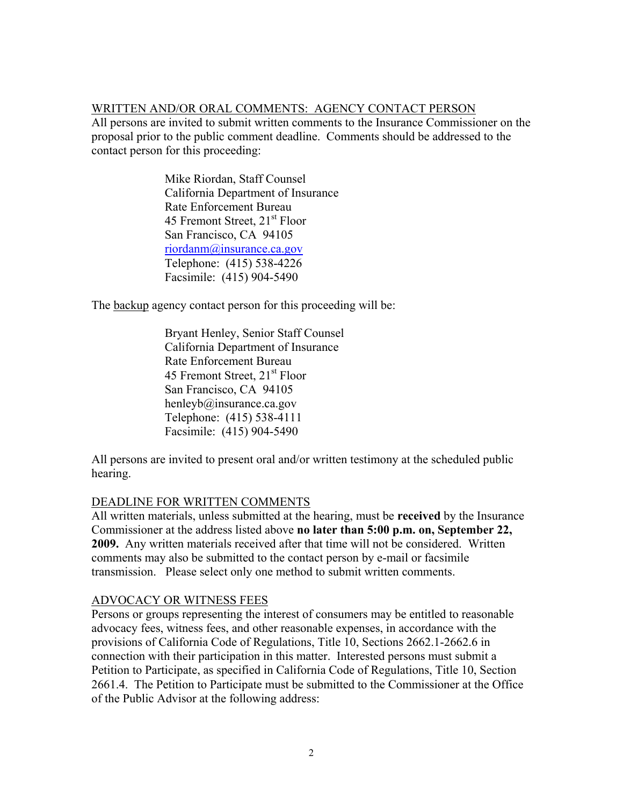#### WRITTEN AND/OR ORAL COMMENTS: AGENCY CONTACT PERSON

All persons are invited to submit written comments to the Insurance Commissioner on the proposal prior to the public comment deadline. Comments should be addressed to the contact person for this proceeding:

> Mike Riordan, Staff Counsel California Department of Insurance Rate Enforcement Bureau 45 Fremont Street, 21<sup>st</sup> Floor San Francisco, CA 94105 riordanm@insurance.ca.gov Telephone: (415) 538-4226 Facsimile: (415) 904-5490

The backup agency contact person for this proceeding will be:

 Bryant Henley, Senior Staff Counsel California Department of Insurance Rate Enforcement Bureau 45 Fremont Street, 21<sup>st</sup> Floor San Francisco, CA 94105 henleyb@insurance.ca.gov Telephone: (415) 538-4111 Facsimile: (415) 904-5490

All persons are invited to present oral and/or written testimony at the scheduled public hearing.

#### DEADLINE FOR WRITTEN COMMENTS

All written materials, unless submitted at the hearing, must be **received** by the Insurance Commissioner at the address listed above **no later than 5:00 p.m. on, September 22, 2009.** Any written materials received after that time will not be considered. Written comments may also be submitted to the contact person by e-mail or facsimile transmission. Please select only one method to submit written comments.

#### ADVOCACY OR WITNESS FEES

Persons or groups representing the interest of consumers may be entitled to reasonable advocacy fees, witness fees, and other reasonable expenses, in accordance with the provisions of California Code of Regulations, Title 10, Sections 2662.1-2662.6 in connection with their participation in this matter. Interested persons must submit a Petition to Participate, as specified in California Code of Regulations, Title 10, Section 2661.4. The Petition to Participate must be submitted to the Commissioner at the Office of the Public Advisor at the following address: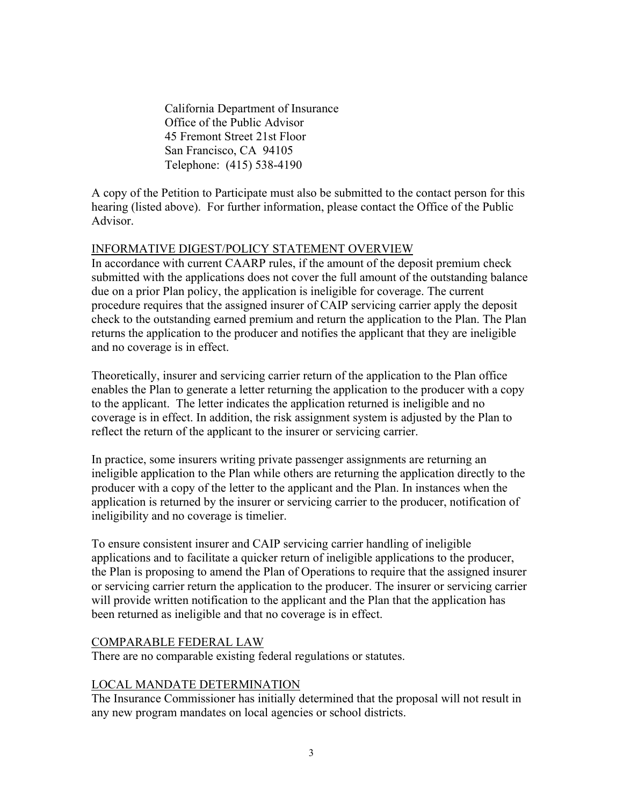California Department of Insurance Office of the Public Advisor 45 Fremont Street 21st Floor San Francisco, CA 94105 Telephone: (415) 538-4190

A copy of the Petition to Participate must also be submitted to the contact person for this hearing (listed above). For further information, please contact the Office of the Public Advisor.

#### INFORMATIVE DIGEST/POLICY STATEMENT OVERVIEW

In accordance with current CAARP rules, if the amount of the deposit premium check submitted with the applications does not cover the full amount of the outstanding balance due on a prior Plan policy, the application is ineligible for coverage. The current procedure requires that the assigned insurer of CAIP servicing carrier apply the deposit check to the outstanding earned premium and return the application to the Plan. The Plan returns the application to the producer and notifies the applicant that they are ineligible and no coverage is in effect.

Theoretically, insurer and servicing carrier return of the application to the Plan office enables the Plan to generate a letter returning the application to the producer with a copy to the applicant. The letter indicates the application returned is ineligible and no coverage is in effect. In addition, the risk assignment system is adjusted by the Plan to reflect the return of the applicant to the insurer or servicing carrier.

In practice, some insurers writing private passenger assignments are returning an ineligible application to the Plan while others are returning the application directly to the producer with a copy of the letter to the applicant and the Plan. In instances when the application is returned by the insurer or servicing carrier to the producer, notification of ineligibility and no coverage is timelier.

To ensure consistent insurer and CAIP servicing carrier handling of ineligible applications and to facilitate a quicker return of ineligible applications to the producer, the Plan is proposing to amend the Plan of Operations to require that the assigned insurer or servicing carrier return the application to the producer. The insurer or servicing carrier will provide written notification to the applicant and the Plan that the application has been returned as ineligible and that no coverage is in effect.

#### COMPARABLE FEDERAL LAW

There are no comparable existing federal regulations or statutes.

# LOCAL MANDATE DETERMINATION

The Insurance Commissioner has initially determined that the proposal will not result in any new program mandates on local agencies or school districts.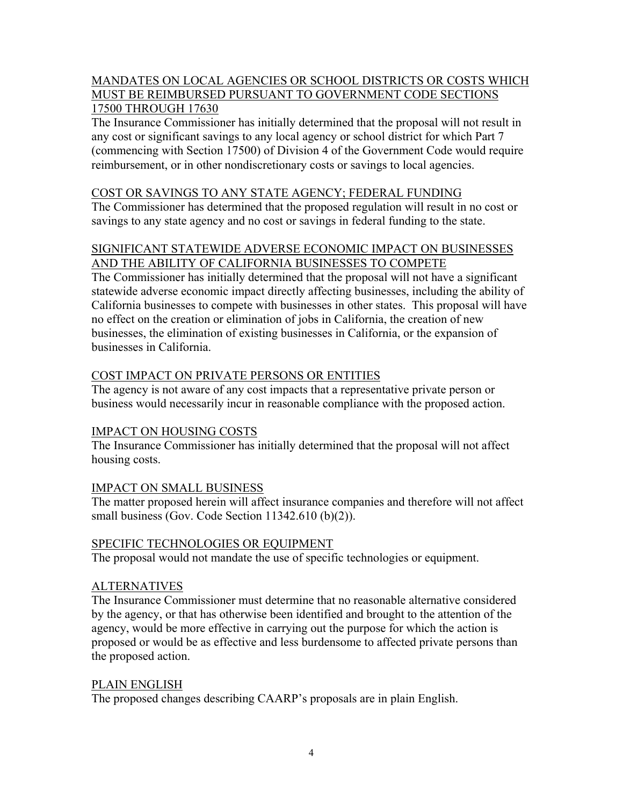# MANDATES ON LOCAL AGENCIES OR SCHOOL DISTRICTS OR COSTS WHICH MUST BE REIMBURSED PURSUANT TO GOVERNMENT CODE SECTIONS 17500 THROUGH 17630

The Insurance Commissioner has initially determined that the proposal will not result in any cost or significant savings to any local agency or school district for which Part 7 (commencing with Section 17500) of Division 4 of the Government Code would require reimbursement, or in other nondiscretionary costs or savings to local agencies.

#### COST OR SAVINGS TO ANY STATE AGENCY; FEDERAL FUNDING

The Commissioner has determined that the proposed regulation will result in no cost or savings to any state agency and no cost or savings in federal funding to the state.

# SIGNIFICANT STATEWIDE ADVERSE ECONOMIC IMPACT ON BUSINESSES AND THE ABILITY OF CALIFORNIA BUSINESSES TO COMPETE

The Commissioner has initially determined that the proposal will not have a significant statewide adverse economic impact directly affecting businesses, including the ability of California businesses to compete with businesses in other states. This proposal will have no effect on the creation or elimination of jobs in California, the creation of new businesses, the elimination of existing businesses in California, or the expansion of businesses in California.

# COST IMPACT ON PRIVATE PERSONS OR ENTITIES

The agency is not aware of any cost impacts that a representative private person or business would necessarily incur in reasonable compliance with the proposed action.

# IMPACT ON HOUSING COSTS

The Insurance Commissioner has initially determined that the proposal will not affect housing costs.

# IMPACT ON SMALL BUSINESS

The matter proposed herein will affect insurance companies and therefore will not affect small business (Gov. Code Section 11342.610 (b)(2)).

#### SPECIFIC TECHNOLOGIES OR EQUIPMENT

The proposal would not mandate the use of specific technologies or equipment.

# ALTERNATIVES

The Insurance Commissioner must determine that no reasonable alternative considered by the agency, or that has otherwise been identified and brought to the attention of the agency, would be more effective in carrying out the purpose for which the action is proposed or would be as effective and less burdensome to affected private persons than the proposed action.

#### PLAIN ENGLISH

The proposed changes describing CAARP's proposals are in plain English.